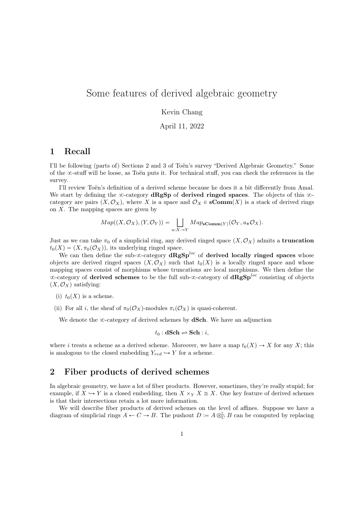# Some features of derived algebraic geometry

### Kevin Chang

April 11, 2022

### 1 Recall

I'll be following (parts of) Sections 2 and 3 of Toën's survey "Derived Algebraic Geometry." Some of the  $\infty$ -stuff will be loose, as Toën puts it. For technical stuff, you can check the references in the survey.

I'll review Toën's definition of a derived scheme because he does it a bit differently from Amal. We start by defining the  $\infty$ -category **dRgSp** of **derived ringed spaces**. The objects of this  $\infty$ category are pairs  $(X, \mathcal{O}_X)$ , where X is a space and  $\mathcal{O}_X \in \mathbf{sComm}(X)$  is a stack of derived rings on  $X$ . The mapping spaces are given by

$$
Map((X, \mathcal{O}_X), (Y, \mathcal{O}_Y)) = \bigsqcup_{u:X \to Y} Map_{\mathbf{sComm}(Y)}(\mathcal{O}_Y, u_*\mathcal{O}_X).
$$

Just as we can take  $\pi_0$  of a simplicial ring, any derived ringed space  $(X, \mathcal{O}_X)$  admits a truncation  $t_0(X) = (X, \pi_0(\mathcal{O}_X))$ , its underlying ringed space.

We can then define the sub- $\infty$ -category  $dRgSp^{loc}$  of derived locally ringed spaces whose objects are derived ringed spaces  $(X, \mathcal{O}_X)$  such that  $t_0(X)$  is a locally ringed space and whose mapping spaces consist of morphisms whose truncations are local morphisms. We then define the  $\infty$ -category of derived schemes to be the full sub- $\infty$ -category of  $dRgSp^{loc}$  consisting of objects  $(X, \mathcal{O}_X)$  satisfying:

- (i)  $t_0(X)$  is a scheme.
- (ii) For all i, the sheaf of  $\pi_0(\mathcal{O}_X)$ -modules  $\pi_i(\mathcal{O}_X)$  is quasi-coherent.

We denote the  $\infty$ -category of derived schemes by **dSch**. We have an adjunction

$$
t_0: \mathbf{dSch} \rightleftharpoons \mathbf{Sch}: i,
$$

where i treats a scheme as a derived scheme. Moreover, we have a map  $t_0(X) \to X$  for any X; this is analogous to the closed embedding  $Y_{red}\hookrightarrow Y$  for a scheme.

# 2 Fiber products of derived schemes

In algebraic geometry, we have a lot of fiber products. However, sometimes, they're really stupid; for example, if  $X \hookrightarrow Y$  is a closed embedding, then  $X \times_Y X \cong X$ . One key feature of derived schemes is that their intersections retain a lot more information.

We will describe fiber products of derived schemes on the level of affines. Suppose we have a diagram of simplicial rings  $A \leftarrow C \rightarrow B$ . The pushout  $D := A \otimes_C^{\mathbb{L}} B$  can be computed by replacing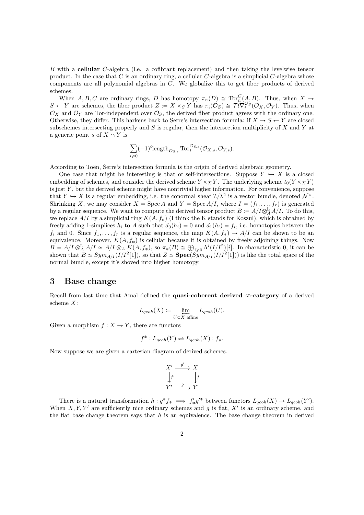B with a cellular C-algebra (i.e. a cofibrant replacement) and then taking the levelwise tensor product. In the case that  $C$  is an ordinary ring, a cellular  $C$ -algebra is a simplicial  $C$ -algebra whose components are all polynomial algebras in C. We globalize this to get fiber products of derived schemes.

When  $A, B, C$  are ordinary rings, D has homotopy  $\pi_n(D) \cong \text{Tor}_n^C(A, B)$ . Thus, when  $X \to$  $S \leftarrow Y$  are schemes, the fiber product  $Z := X \times_S Y$  has  $\pi_i(\mathcal{O}_Z) \cong \mathcal{T}_i \nabla_i^{\mathcal{O}_S}(\mathcal{O}_X, \mathcal{O}_Y)$ . Thus, when  $\mathcal{O}_X$  and  $\mathcal{O}_Y$  are Tor-independent over  $\mathcal{O}_S$ , the derived fiber product agrees with the ordinary one. Otherwise, they differ. This harkens back to Serre's intersection formula: if  $X \to S \leftarrow Y$  are closed subschemes intersecting properly and  $S$  is regular, then the intersection multiplicity of  $X$  and  $Y$  at a generic point s of  $X \cap Y$  is

$$
\sum_{i\geqslant 0} (-1)^i\mathrm{length}_{\mathcal{O}_{S,s}} \mathrm{Tor}_i^{\mathcal{O}_{S,s}}(\mathcal{O}_{X,s},\mathcal{O}_{Y,s}).
$$

According to Toën, Serre's intersection formula is the origin of derived algebraic geometry.

One case that might be interesting is that of self-intersections. Suppose  $Y \hookrightarrow X$  is a closed embedding of schemes, and consider the derived scheme  $Y \times_X Y$ . The underlying scheme  $t_0(Y \times_X Y)$ is just  $Y$ , but the derived scheme might have nontrivial higher information. For convenience, suppose that  $Y \hookrightarrow X$  is a regular embedding, i.e. the conormal sheaf  $\mathcal{I}/\mathcal{I}^2$  is a vector bundle, denoted  $\mathcal{N}^{\vee}$ . Shrinking X, we may consider  $X = \text{Spec } A$  and  $Y = \text{Spec } A/I$ , where  $I = (f_1, \ldots, f_r)$  is generated by a regular sequence. We want to compute the derived tensor product  $B := \overline{A/I} \otimes_A^{\mathbb{L}} A/I$ . To do this, we replace  $A/I$  by a simplicial ring  $K(A, f_*)$  (I think the K stands for Koszul), which is obtained by freely adding 1-simplices  $h_i$  to A such that  $d_0(h_i) = 0$  and  $d_1(h_i) = f_i$ , i.e. homotopies between the  $f_i$  and 0. Since  $f_1, \ldots, f_r$  is a regular sequence, the map  $K(A, f_*) \to A/I$  can be shown to be an equivalence. Moreover,  $K(A, f_*)$  is cellular because it is obtained by freely adjoining things. Now equivalence. Moreover,  $K(A, f_*)$  is cellular because it is obtained by freely adjoining things. Now  $B = A/I \otimes_A^{\mathbb{L}} A/I \simeq A/I \otimes_A K(A, f_*),$  so  $\pi_*(B) \cong \bigoplus_{i \geq 0} \Lambda^i(I/I^2)[i]$ . In characteristic 0, it can be shown that  $B \simeq Sym_{A/I}(I/I^2[1])$ , so that  $Z \simeq$   $\text{Spec}(Sym_{A/I}(I/I^2[1]))$  is like the total space of the normal bundle, except it's shoved into higher homotopy.

#### 3 Base change

Recall from last time that Amal defined the quasi-coherent derived  $\infty$ -category of a derived scheme X:

$$
L_{qcoh}(X) := \lim_{U \subset X} L_{qcoh}(U).
$$

Given a morphism  $f: X \to Y$ , there are functors

$$
f^*: L_{qcoh}(Y) \rightleftharpoons L_{qcoh}(X): f_*.
$$

Now suppose we are given a cartesian diagram of derived schemes.

$$
X' \xrightarrow{g'} X
$$
  
\n
$$
f' \xrightarrow{g} f
$$
  
\n
$$
Y' \xrightarrow{g} Y
$$

There is a natural transformation  $h : g^* f_* \implies f'_* g'^*$  between functors  $L_{qcoh}(X) \to L_{qcoh}(Y')$ . When  $X, Y, Y'$  are sufficiently nice ordinary schemes and g is flat,  $X'$  is an ordinary scheme, and the flat base change theorem says that  $h$  is an equivalence. The base change theorem in derived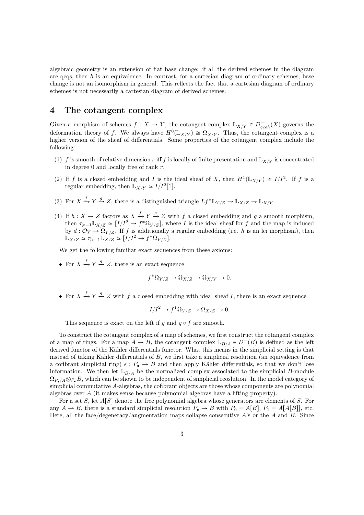algebraic geometry is an extension of flat base change: if all the derived schemes in the diagram are  $q cqs$ , then h is an equivalence. In contrast, for a cartesian diagram of ordinary schemes, base change is not an isomorphism in general. This reflects the fact that a cartesian diagram of ordinary schemes is not necessarily a cartesian diagram of derived schemes.

## 4 The cotangent complex

Given a morphism of schemes  $f: X \to Y$ , the cotangent complex  $\mathbb{L}_{X/Y} \in D_{qcoh}^-(X)$  governs the deformation theory of f. We always have  $H^0(\mathbb{L}_{X/Y}) \cong \Omega_{X/Y}$ . Thus, the cotangent complex is a higher version of the sheaf of differentials. Some properties of the cotangent complex include the following:

- (1) f is smooth of relative dimension r iff f is locally of finite presentation and  $\mathbb{L}_{X/Y}$  is concentrated in degree 0 and locally free of rank r.
- (2) If f is a closed embedding and I is the ideal sheaf of X, then  $H^1(\mathbb{L}_{X/Y}) \cong I/I^2$ . If f is a regular embedding, then  $\mathbb{L}_{X/Y} \simeq I/I^2[1]$ .
- (3) For  $X \xrightarrow{f} Y \xrightarrow{g} Z$ , there is a distinguished triangle  $Lf^* \mathbb{L}_{Y/Z} \to \mathbb{L}_{X/Z} \to \mathbb{L}_{X/Y}$ .
- (4) If  $h: X \to Z$  factors as  $X \xrightarrow{f} Y \xrightarrow{g} Z$  with f a closed embedding and g a smooth morphism, then  $\tau_{\geq -1} \mathbb{L}_{X/Z} \simeq [I/I^2 \to f^* \Omega_{Y/Z}]$ , where *I* is the ideal sheaf for *f* and the map is induced by  $d: \mathcal{O}_Y \to \Omega_{Y/Z}$ . If f is additionally a regular embedding (i.e. h is an lci morphism), then  $\mathbb{L}_{X/Z} \simeq \tau_{\geq -1} \mathbb{L}_X_{Z} \simeq [I/I^2 \to f^* \Omega_{Y/Z}].$

We get the following familiar exact sequences from these axioms:

• For  $X \xrightarrow{f} Y \xrightarrow{g} Z$ , there is an exact sequence

$$
f^*\Omega_{Y/Z} \to \Omega_{X/Z} \to \Omega_{X/Y} \to 0.
$$

• For  $X \stackrel{f}{\rightarrow} Y \stackrel{g}{\rightarrow} Z$  with f a closed embedding with ideal sheaf I, there is an exact sequence

$$
I/I^2 \to f^* \Omega_{Y/Z} \to \Omega_{X/Z} \to 0.
$$

This sequence is exact on the left if g and  $g \circ f$  are smooth.

To construct the cotangent complex of a map of schemes, we first construct the cotangent complex of a map of rings. For a map  $A \to B$ , the cotangent complex  $\mathbb{L}_{B/A} \in D^{-}(B)$  is defined as the left derived functor of the Kähler differentials functor. What this means in the simplicial setting is that instead of taking Kähler differentials of  $B$ , we first take a simplicial resolution (an equivalence from a cofibrant simplicial ring)  $\epsilon : P_{\bullet} \to B$  and then apply Kähler differentials, so that we don't lose information. We then let  $\mathbb{L}_{B/A}$  be the normalized complex associated to the simplicial B-module  $\Omega_{P/A} \otimes_{P} B$ , which can be shown to be independent of simplicial reoslution. In the model category of simplicial commutative A-algebras, the cofibrant objects are those whose components are polynomial algebras over A (it makes sense because polynomial algebras have a lifting property).

For a set S, let  $A[S]$  denote the free polynomial algebra whose generators are elements of S. For any  $A \to B$ , there is a standard simplicial resolution  $P_{\bullet} \to B$  with  $P_0 = A[B], P_1 = A[A[B]]$ , etc. Here, all the face/degeneracy/augmentation maps collapse consecutive  $A$ 's or the  $A$  and  $B$ . Since